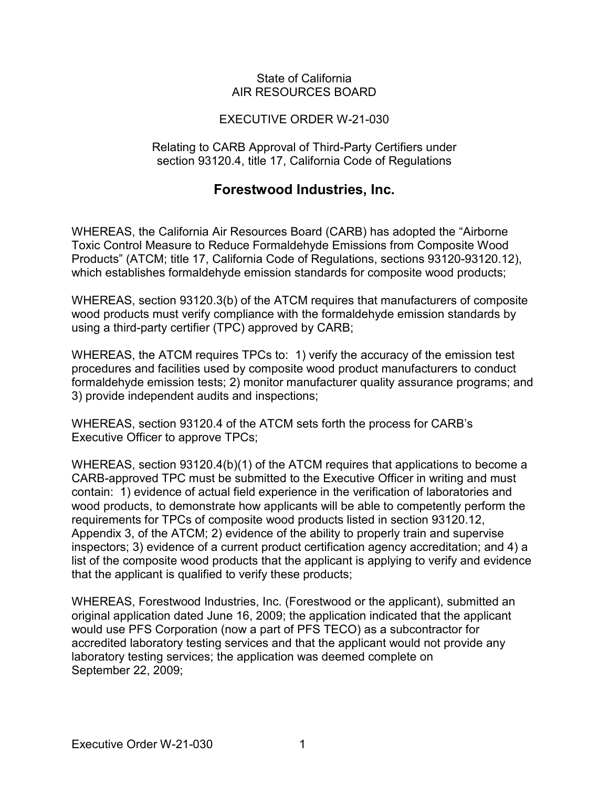### State of California AIR RESOURCES BOARD

## EXECUTIVE ORDER W-21-030

#### Relating to CARB Approval of Third-Party Certifiers under section 93120.4, title 17, California Code of Regulations

# **Forestwood Industries, Inc.**

 which establishes formaldehyde emission standards for composite wood products; WHEREAS, the California Air Resources Board (CARB) has adopted the "Airborne Toxic Control Measure to Reduce Formaldehyde Emissions from Composite Wood Products" (ATCM; title 17, California Code of Regulations, sections [93120-93120.12\)](https://93120-93120.12),

 using a third-party certifier (TPC) approved by CARB; WHEREAS, section 93120.3(b) of the ATCM requires that manufacturers of composite wood products must verify compliance with the formaldehyde emission standards by

 WHEREAS, the ATCM requires TPCs to: 1) verify the accuracy of the emission test procedures and facilities used by composite wood product manufacturers to conduct formaldehyde emission tests; 2) monitor manufacturer quality assurance programs; and 3) provide independent audits and inspections;

 WHEREAS, section 93120.4 of the ATCM sets forth the process for CARB's Executive Officer to approve TPCs;

 CARB-approved TPC must be submitted to the Executive Officer in writing and must contain: 1) evidence of actual field experience in the verification of laboratories and that the applicant is qualified to verify these products; WHEREAS, section 93120.4(b)(1) of the ATCM requires that applications to become a wood products, to demonstrate how applicants will be able to competently perform the requirements for TPCs of composite wood products listed in section [93120.12](https://93120.12), Appendix 3, of the ATCM; 2) evidence of the ability to properly train and supervise inspectors; 3) evidence of a current product certification agency accreditation; and 4) a list of the composite wood products that the applicant is applying to verify and evidence

laboratory testing services; the application was deemed complete on<br>September 22, 2009; September 22, 2009; WHEREAS, Forestwood Industries, Inc. (Forestwood or the applicant), submitted an original application dated June 16, 2009; the application indicated that the applicant would use PFS Corporation (now a part of PFS TECO) as a subcontractor for accredited laboratory testing services and that the applicant would not provide any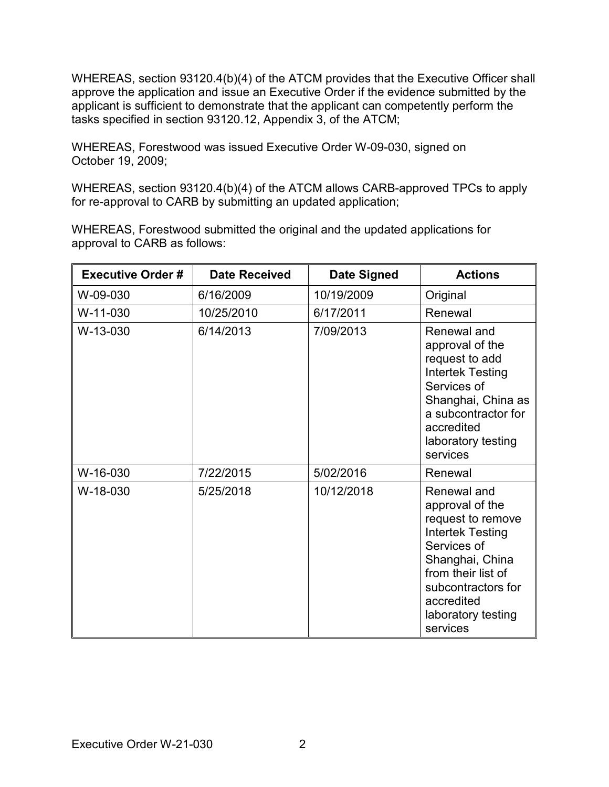tasks specified in section [93120.12](https://93120.12), Appendix 3, of the ATCM; WHEREAS, section 93120.4(b)(4) of the ATCM provides that the Executive Officer shall approve the application and issue an Executive Order if the evidence submitted by the applicant is sufficient to demonstrate that the applicant can competently perform the

 WHEREAS, Forestwood was issued Executive Order W-09-030, signed on October 19, 2009;

 WHEREAS, section 93120.4(b)(4) of the ATCM allows CARB-approved TPCs to apply for re-approval to CARB by submitting an updated application;

 WHEREAS, Forestwood submitted the original and the updated applications for approval to CARB as follows:

| <b>Executive Order #</b> | <b>Date Received</b> | <b>Date Signed</b> | <b>Actions</b>                                                                                                                                                                                               |
|--------------------------|----------------------|--------------------|--------------------------------------------------------------------------------------------------------------------------------------------------------------------------------------------------------------|
| W-09-030                 | 6/16/2009            | 10/19/2009         | Original                                                                                                                                                                                                     |
| W-11-030                 | 10/25/2010           | 6/17/2011          | Renewal                                                                                                                                                                                                      |
| W-13-030                 | 6/14/2013            | 7/09/2013          | Renewal and<br>approval of the<br>request to add<br><b>Intertek Testing</b><br>Services of<br>Shanghai, China as<br>a subcontractor for<br>accredited<br>laboratory testing<br>services                      |
| W-16-030                 | 7/22/2015            | 5/02/2016          | Renewal                                                                                                                                                                                                      |
| W-18-030                 | 5/25/2018            | 10/12/2018         | Renewal and<br>approval of the<br>request to remove<br><b>Intertek Testing</b><br>Services of<br>Shanghai, China<br>from their list of<br>subcontractors for<br>accredited<br>laboratory testing<br>services |
| Executive Order W-21-030 | $\overline{2}$       |                    |                                                                                                                                                                                                              |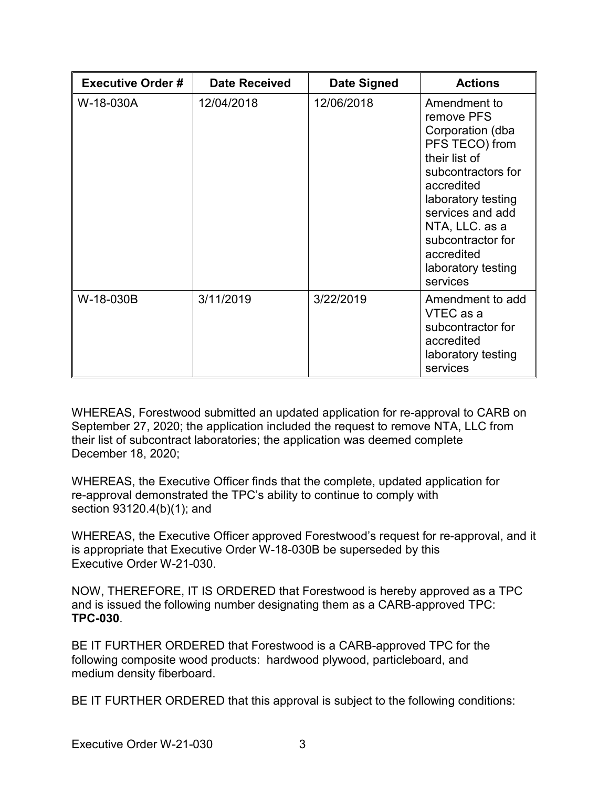| <b>Executive Order#</b> | <b>Date Received</b> | <b>Date Signed</b> | <b>Actions</b>                                                                                                                                                                                                                                         |
|-------------------------|----------------------|--------------------|--------------------------------------------------------------------------------------------------------------------------------------------------------------------------------------------------------------------------------------------------------|
| W-18-030A               | 12/04/2018           | 12/06/2018         | Amendment to<br>remove PFS<br>Corporation (dba<br>PFS TECO) from<br>their list of<br>subcontractors for<br>accredited<br>laboratory testing<br>services and add<br>NTA, LLC. as a<br>subcontractor for<br>accredited<br>laboratory testing<br>services |
| W-18-030B               | 3/11/2019            | 3/22/2019          | Amendment to add<br>VTEC as a<br>subcontractor for<br>accredited<br>laboratory testing<br>services                                                                                                                                                     |

 September 27, 2020; the application included the request to remove NTA, LLC from December 18, 2020; WHEREAS, Forestwood submitted an updated application for re-approval to CARB on their list of subcontract laboratories; the application was deemed complete

 section 93120.4(b)(1); and WHEREAS, the Executive Officer finds that the complete, updated application for re-approval demonstrated the TPC's ability to continue to comply with

 is appropriate that Executive Order W-18-030B be superseded by this Executive Order W-21-030. WHEREAS, the Executive Officer approved Forestwood's request for re-approval, and it

 NOW, THEREFORE, IT IS ORDERED that Forestwood is hereby approved as a TPC and is issued the following number designating them as a CARB-approved TPC: **TPC-030**.

 BE IT FURTHER ORDERED that Forestwood is a CARB-approved TPC for the following composite wood products: hardwood plywood, particleboard, and medium density fiberboard.

medium density fiberboard.<br>BE IT FURTHER ORDERED that this approval is subject to the following conditions: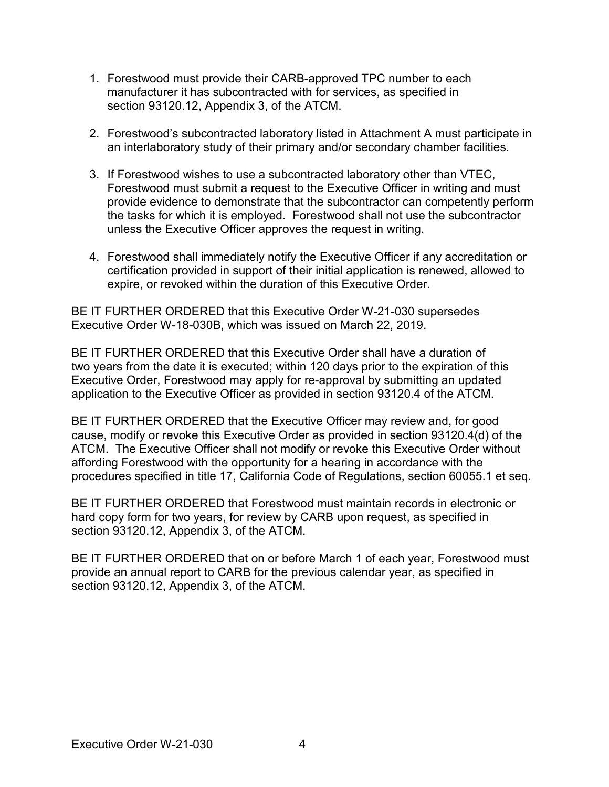- 1. Forestwood must provide their CARB-approved TPC number to each section [93120.12,](https://93120.12) Appendix 3, of the ATCM. manufacturer it has subcontracted with for services, as specified in
- 2. Forestwood's subcontracted laboratory listed in Attachment A must participate in an interlaboratory study of their primary and/or secondary chamber facilities.
- the tasks for which it is employed. Forestwood shall not use the subcontractor 3. If Forestwood wishes to use a subcontracted laboratory other than VTEC, Forestwood must submit a request to the Executive Officer in writing and must provide evidence to demonstrate that the subcontractor can competently perform unless the Executive Officer approves the request in writing.
- 4. Forestwood shall immediately notify the Executive Officer if any accreditation or expire, or revoked within the duration of this Executive Order. certification provided in support of their initial application is renewed, allowed to

 BE IT FURTHER ORDERED that this Executive Order W-21-030 supersedes Executive Order W-18-030B, which was issued on March 22, 2019.

 application to the Executive Officer as provided in section 93120.4 of the ATCM. BE IT FURTHER ORDERED that this Executive Order shall have a duration of two years from the date it is executed; within 120 days prior to the expiration of this Executive Order, Forestwood may apply for re-approval by submitting an updated

 BE IT FURTHER ORDERED that the Executive Officer may review and, for good ATCM. The Executive Officer shall not modify or revoke this Executive Order without procedures specified in title 17, California Code of Regulations, section 60055.1 et seq. cause, modify or revoke this Executive Order as provided in section 93120.4(d) of the affording Forestwood with the opportunity for a hearing in accordance with the

 hard copy form for two years, for review by CARB upon request, as specified in section [93120.12,](https://93120.12) Appendix 3, of the ATCM. BE IT FURTHER ORDERED that Forestwood must maintain records in electronic or

 BE IT FURTHER ORDERED that on or before March 1 of each year, Forestwood must section [93120.12,](https://93120.12) Appendix 3, of the ATCM. provide an annual report to CARB for the previous calendar year, as specified in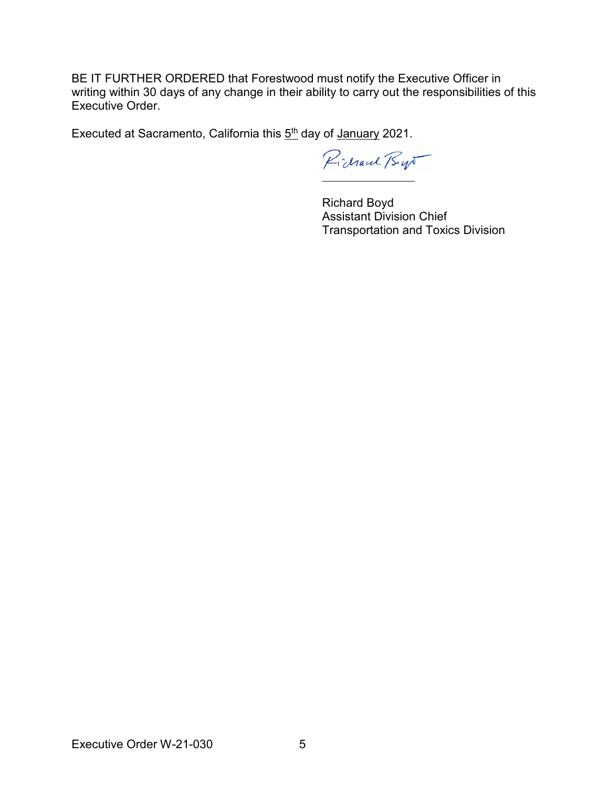writing within 30 days of any change in their ability to carry out the responsibilities of this BE IT FURTHER ORDERED that Forestwood must notify the Executive Officer in Executive Order.

Executed at Sacramento, California this <u>5<sup>th</sup></u> day of <u>January</u> 2021.

Pichard Bys  $\_$ 

Richard Boyd Assistant Division Chief Transportation and Toxics Division